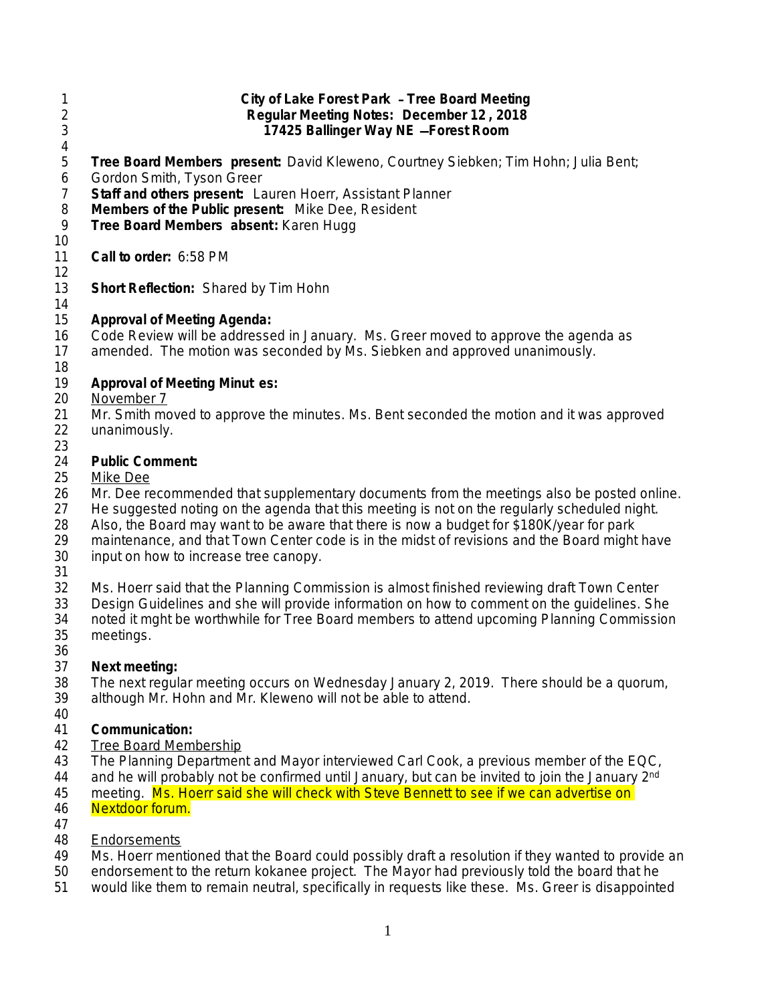- 1 **City of Lake Forest Park Tree Board Meeting** 2 **Regular Meeting Notes: December 12 , 2018** 3 **17425 Ballinger Way NE** —**Forest Room**  $\frac{4}{5}$ 5 **Tree Board Members present:** David Kleweno, Courtney Siebken; Tim Hohn; Julia Bent; 6 Gordon Smith, Tyson Greer 7 **Staff and others present:** Lauren Hoerr, Assistant Planner 8 **Members of the Public present:** Mike Dee, Resident 9 **Tree Board Members absent:** Karen Hugg 9 **Tree Board Members absent:** Karen Hugg 10 11 **Call to order:** 6:58 PM 12 13 **Short Reflection:** Shared by Tim Hohn 14 15 **Approval of Meeting Agenda:** 16 Code Review will be addressed in January. Ms. Greer moved to approve the agenda as 17 amended. The motion was seconded by Ms. Siebken and approved unanimously. 18<br>19 19 **Approval of Meeting Minut es:** 20 November 7 21 Mr. Smith moved to approve the minutes. Ms. Bent seconded the motion and it was approved 22 unanimously. unanimously. 23<br>24 **Public Comment:** 25 Mike Dee 26 Mr. Dee recommended that supplementary documents from the meetings also be posted online.<br>27 He suggested noting on the agenda that this meeting is not on the regularly scheduled night. He suggested noting on the agenda that this meeting is not on the regularly scheduled night. 28 Also, the Board may want to be aware that there is now a budget for \$180K/year for park<br>29 maintenance, and that Town Center code is in the midst of revisions and the Board might maintenance, and that Town Center code is in the midst of revisions and the Board might have 30 input on how to increase tree canopy. 31<br>32 Ms. Hoerr said that the Planning Commission is almost finished reviewing draft Town Center 33 Design Guidelines and she will provide information on how to comment on the guidelines. She<br>34 Thoted it maht be worthwhile for Tree Board members to attend upcoming Planning Commission noted it mght be worthwhile for Tree Board members to attend upcoming Planning Commission 35 meetings. 36<br>37 Next meeting: 38 The next regular meeting occurs on Wednesday January 2, 2019. There should be a quorum, 39 although Mr. Hohn and Mr. Kleweno will not be able to attend. although Mr. Hohn and Mr. Kleweno will not be able to attend. 40 41 **Communication:** 42 Tree Board Membership 43 The Planning Department and Mayor interviewed Carl Cook, a previous member of the EQC, 44 and he will probably not be confirmed until January, but can be invited to join the January 2<sup>nd</sup> 45 meeting. Ms. Hoerr said she will check with Steve Bennett to see if we can advertise on 46 Nextdoor forum. 47 48 Endorsements<br>49 Ms. Hoerr ment Ms. Hoerr mentioned that the Board could possibly draft a resolution if they wanted to provide an 50 endorsement to the return kokanee project. The Mayor had previously told the board that he
- 51 would like them to remain neutral, specifically in requests like these. Ms. Greer is disappointed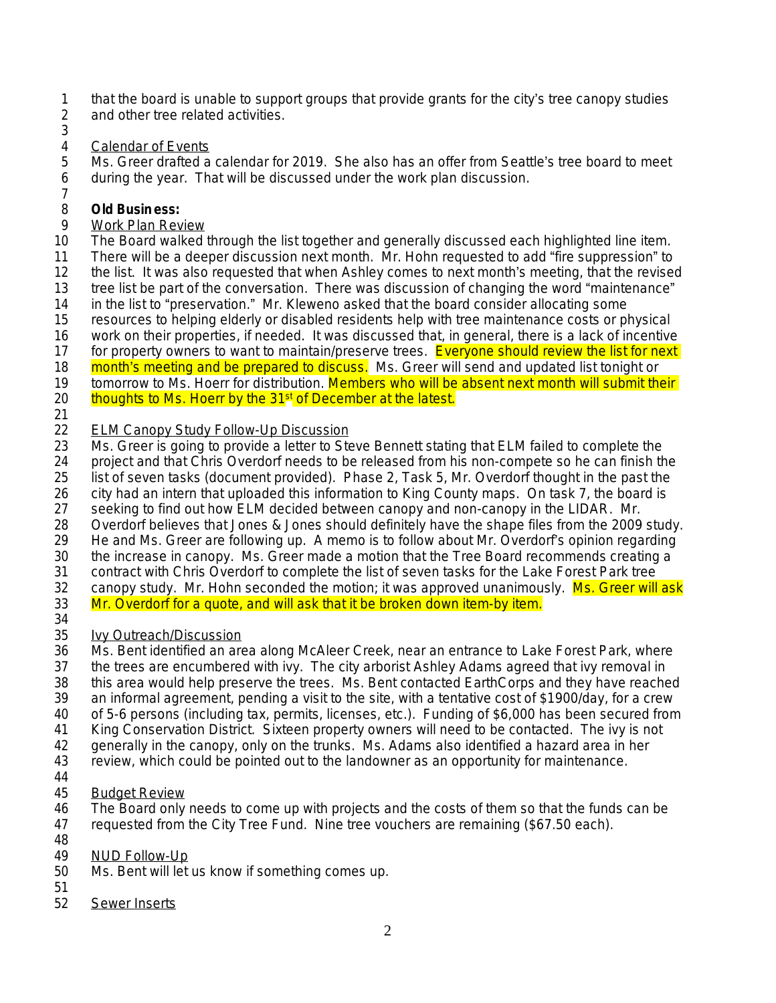- 1 that the board is unable to support groups that provide grants for the city's tree canopy studies<br>2 and other tree related activities.
- and other tree related activities.
- 3<br>4

## Calendar of Events

5 Ms. Greer drafted a calendar for 2019. She also has an offer from Seattle's tree board to meet 6 during the year. That will be discussed under the work plan discussion.

7

## 8 **Old Business:**<br>9 Work Plan Rev

Work Plan Review

10 The Board walked through the list together and generally discussed each highlighted line item.

11 There will be a deeper discussion next month. Mr. Hohn requested to add "fire suppression" to<br>12 the list. It was also requested that when Ashley comes to next month's meeting, that the revised

the list. It was also requested that when Ashley comes to next month's meeting, that the revised

13 tree list be part of the conversation. There was discussion of changing the word "maintenance" 14 in the list to "preservation." Mr. Kleweno asked that the board consider allocating some

15 resources to helping elderly or disabled residents help with tree maintenance costs or physical

- 16 work on their properties, if needed. It was discussed that, in general, there is a lack of incentive
- 17 for property owners to want to maintain/preserve trees. Everyone should review the list for next
- 

18 month's meeting and be prepared to discuss. Ms. Greer will send and updated list tonight or 19<br>19 tomorrow to Ms. Hoerr for distribution. Members who will be absent next month will submit the tomorrow to Ms. Hoerr for distribution. Members who will be absent next month will submit their

- 20 thoughts to Ms. Hoerr by the 31<sup>st</sup> of December at the latest.
- $\frac{21}{22}$

22 ELM Canopy Study Follow-Up Discussion<br>23 Ms. Greer is going to provide a letter to Ste 23 Ms. Greer is going to provide a letter to Steve Bennett stating that ELM failed to complete the<br>24 Deproject and that Chris Overdorf needs to be released from his non-compete so he can finish the 24 project and that Chris Overdorf needs to be released from his non-compete so he can finish the

25 list of seven tasks (document provided). Phase 2, Task 5, Mr. Overdorf thought in the past the

- 
- 26 city had an intern that uploaded this information to King County maps. On task 7, the board is 27 seeking to find out how ELM decided between canopy and non-canopy in the LIDAR. Mr. seeking to find out how ELM decided between canopy and non-canopy in the LIDAR. Mr.
- 28 Overdorf believes that Jones & Jones should definitely have the shape files from the 2009 study.<br>29 He and Ms. Greer are following up. A memo is to follow about Mr. Overdorf's opinion regarding
- 29 He and Ms. Greer are following up. A memo is to follow about Mr. Overdorf's opinion regarding
- 30 the increase in canopy. Ms. Greer made a motion that the Tree Board recommends creating a
- 31 contract with Chris Overdorf to complete the list of seven tasks for the Lake Forest Park tree<br>32 canopy study. Mr. Hohn seconded the motion: it was approved unanimously. Ms. Greer will
- canopy study. Mr. Hohn seconded the motion; it was approved unanimously. Ms. Greer will ask 33 Mr. Overdorf for a quote, and will ask that it be broken down item-by item.
- 
- 34<br>35 Ivy Outreach/Discussion

36 Ms. Bent identified an area along McAleer Creek, near an entrance to Lake Forest Park, where

- 37 the trees are encumbered with ivy. The city arborist Ashley Adams agreed that ivy removal in
- 38 this area would help preserve the trees. Ms. Bent contacted EarthCorps and they have reached<br>39 an informal agreement, pending a visit to the site, with a tentative cost of \$1900/day, for a crew
- an informal agreement, pending a visit to the site, with a tentative cost of \$1900/day, for a crew
- 40 of 5-6 persons (including tax, permits, licenses, etc.). Funding of \$6,000 has been secured from
- 41 King Conservation District. Sixteen property owners will need to be contacted. The ivy is not 42 generally in the canopy, only on the trunks. Ms. Adams also identified a hazard area in her
- 43 review, which could be pointed out to the landowner as an opportunity for maintenance.
- 44
- 45 Budget Review

46 The Board only needs to come up with projects and the costs of them so that the funds can be 47 requested from the City Tree Fund. Nine tree vouchers are remaining (\$67.50 each).

- requested from the City Tree Fund. Nine tree vouchers are remaining (\$67.50 each).
- 48<br>49
- NUD Follow-Up
- 50 Ms. Bent will let us know if something comes up.
- 51
- 52 Sewer Inserts